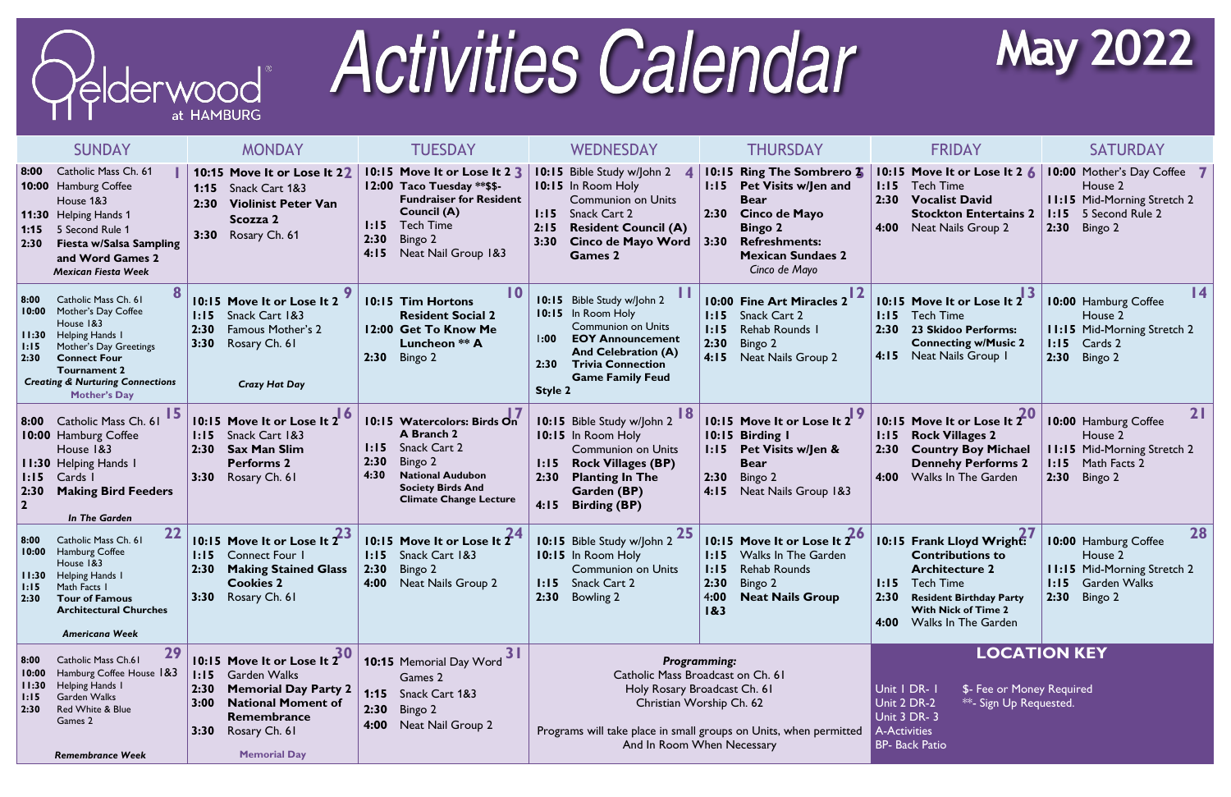

## **Activities Calendar**

|                                         | <b>SUNDAY</b>                                                                                                                                                                                                             | <b>MONDAY</b>                                                                                                                                                                                        | <b>TUESDAY</b>                                                                                                                                                                                   | WEDNESDAY                                                                                                                                                                                                                      | THURSDAY                                                                                                                                                                                                       | <b>FRIDAY</b>                                                                                                                                                                                                        | SATURDAY                                                                                                                       |
|-----------------------------------------|---------------------------------------------------------------------------------------------------------------------------------------------------------------------------------------------------------------------------|------------------------------------------------------------------------------------------------------------------------------------------------------------------------------------------------------|--------------------------------------------------------------------------------------------------------------------------------------------------------------------------------------------------|--------------------------------------------------------------------------------------------------------------------------------------------------------------------------------------------------------------------------------|----------------------------------------------------------------------------------------------------------------------------------------------------------------------------------------------------------------|----------------------------------------------------------------------------------------------------------------------------------------------------------------------------------------------------------------------|--------------------------------------------------------------------------------------------------------------------------------|
| 8:00 <br>1:15<br>2:30                   | Catholic Mass Ch. 61<br><b>10:00 Hamburg Coffee</b><br>House 1&3<br>11:30 Helping Hands 1<br>5 Second Rule 1<br><b>Fiesta w/Salsa Sampling</b><br>and Word Games 2<br><b>Mexican Fiesta Week</b>                          | 10:15 Move It or Lose It 22<br><b>1:15</b> Snack Cart 1&3<br>2:30<br><b>Violinist Peter Van</b><br>Scozza 2<br>Rosary Ch. 61<br>3:30                                                                 | 10:15 Move It or Lose It 2 3<br>12:00 Taco Tuesday **\$\$-<br><b>Fundraiser for Resident</b><br><b>Council (A)</b><br><b>Tech Time</b><br>1:15<br>2:30<br>Bingo 2<br>4:15<br>Neat Nail Group 1&3 | Bible Study w/John 2<br>10:15<br>10:15 In Room Holy<br><b>Communion on Units</b><br>Snack Cart 2<br>1:15<br>$2:15$<br><b>Resident Council (A)</b><br>Cinco de Mayo Word<br>3:30<br><b>Games 2</b>                              | 10:15 Ring The Sombrero 2<br><b>Pet Visits w/Jen and</b><br>1:15<br><b>Bear</b><br>2:30<br><b>Cinco de Mayo</b><br><b>Bingo 2</b><br>3:30<br><b>Refreshments:</b><br><b>Mexican Sundaes 2</b><br>Cinco de Mayo | 10:15 Move It or Lose It 2 6<br>1:15<br><b>Tech Time</b><br>2:30<br><b>Vocalist David</b><br><b>Stockton Entertains 2</b><br>Neat Nails Group 2<br>4:00                                                              | 10:00 Mother's Day Coffee 7<br>House 2<br><b>11:15 Mid-Morning Stretch 2</b><br>1:15<br>5 Second Rule 2<br>2:30<br>Bingo 2     |
| 8:00<br>10:00<br>11:30<br>1:15<br>2:30  | Catholic Mass Ch. 61<br>Mother's Day Coffee<br>House 1&3<br>Helping Hands 1<br>Mother's Day Greetings<br><b>Connect Four</b><br><b>Tournament 2</b><br><b>Creating &amp; Nurturing Connections</b><br><b>Mother's Day</b> | 10:15 Move It or Lose It 2<br>Snack Cart 1&3<br>1:15<br>Famous Mother's 2<br>2:30<br>3:30<br>Rosary Ch. 61<br><b>Crazy Hat Day</b>                                                                   | 10<br>10:15 Tim Hortons<br><b>Resident Social 2</b><br>12:00 Get To Know Me<br>Luncheon ** A<br>2:30<br>Bingo 2                                                                                  | 10:15<br>Bible Study w/John 2<br>In Room Holy<br>10:15<br><b>Communion on Units</b><br><b>EOY Announcement</b><br>1:00<br><b>And Celebration (A)</b><br><b>Trivia Connection</b><br>2:30<br><b>Game Family Feud</b><br>Style 2 | 10:00 Fine Art Miracles 2<br>Snack Cart 2<br>1:15<br>1:15<br>Rehab Rounds I<br>2:30<br>Bingo 2<br>4:15<br>Neat Nails Group 2                                                                                   | 10:15 Move It or Lose It 2<br>1:15<br><b>Tech Time</b><br>2:30<br><b>23 Skidoo Performs:</b><br><b>Connecting w/Music 2</b><br>Neat Nails Group I<br>4:15                                                            | $\overline{14}$<br>10:00 Hamburg Coffee<br>House 2<br><b>11:15 Mid-Morning Stretch 2</b><br>Cards 2<br>1:15<br>2:30<br>Bingo 2 |
| 1:15<br>$ 2:30\rangle$                  | 8:00 Catholic Mass Ch. 61<br><b>10:00 Hamburg Coffee</b><br>House 1&3<br><b>11:30 Helping Hands I</b><br>Cards I<br><b>Making Bird Feeders</b><br><b>In The Garden</b>                                                    | 10:15 Move It or Lose It 2 6<br>Snack Cart 1&3<br>1:15<br><b>Sax Man Slim</b><br>2:30<br><b>Performs 2</b><br>3:30<br>Rosary Ch. 61                                                                  | 10:15 Watercolors: Birds On<br>A Branch 2<br>Snack Cart 2<br>1:15<br>2:30<br>Bingo 2<br><b>National Audubon</b><br>4:30<br><b>Society Birds And</b><br><b>Climate Change Lecture</b>             | 10:15 Bible Study w/John 2<br>10:15 In Room Holy<br><b>Communion on Units</b><br><b>Rock Villages (BP)</b><br>1:15<br>2:30<br><b>Planting In The</b><br>Garden (BP)<br>4:15<br><b>Birding (BP)</b>                             | 10:15 Move It or Lose It 2 9<br>10:15 Birding I<br>Pet Visits w/Jen &<br>1:15<br><b>Bear</b><br>2:30<br>Bingo 2<br>Neat Nails Group 1&3<br>4:15                                                                | 10:15 Move It or Lose It $2^0$<br><b>Rock Villages 2</b><br>1:15<br>2:30<br><b>Country Boy Michael</b><br><b>Dennehy Performs 2</b><br><b>Walks In The Garden</b><br>4:00                                            | 21<br>10:00 Hamburg Coffee<br>House 2<br><b>11:15 Mid-Morning Stretch 2</b><br>1:15<br>Math Facts 2<br>2:30<br>Bingo 2         |
| 8:00<br>10:00<br>1:15<br>2:30           | 22<br>Catholic Mass Ch. 61<br>Hamburg Coffee<br>House 1&3<br><b>11:30</b> Helping Hands I<br>Math Facts 1<br><b>Tour of Famous</b><br><b>Architectural Churches</b><br><b>Americana Week</b>                              | 10:15 Move It or Lose It $2^3$<br><b>Connect Four 1</b><br>1:15<br><b>Making Stained Glass</b><br>2:30<br><b>Cookies 2</b><br>3:30<br>Rosary Ch. 61                                                  | 10:15 Move It or Lose It $2^4$<br>Snack Cart 1&3<br>1:15<br>2:30<br>Bingo 2<br>4:00 Neat Nails Group 2                                                                                           | 10:15 Bible Study w/John 2<br>10:15 In Room Holy<br><b>Communion on Units</b><br>1:15 Snack Cart 2<br>2:30<br><b>Bowling 2</b>                                                                                                 | 10:15 Move It or Lose It 2<br><b>Walks In The Garden</b><br>1:15<br>1:15<br><b>Rehab Rounds</b><br>2:30 Bingo 2<br>4:00<br><b>Neat Nails Group</b><br>183                                                      | 10:15 Frank Lloyd Wright:<br><b>Contributions to</b><br><b>Architecture 2</b><br><b>I:15</b> Tech Time<br>2:30<br><b>Resident Birthday Party</b><br><b>With Nick of Time 2</b><br><b>Walks In The Garden</b><br>4:00 | 28<br>10:00 Hamburg Coffee<br>House 2<br><b>11:15 Mid-Morning Stretch 2</b><br><b>1:15</b> Garden Walks<br>Bingo 2<br>2:30     |
| 8:00 <br>10:00<br>11:30<br>1:15<br>2:30 | 29<br>Catholic Mass Ch.61<br>Hamburg Coffee House 1&3<br>Helping Hands I<br>Garden Walks<br>Red White & Blue<br>Games 2<br><b>Remembrance Week</b>                                                                        | 10:15 Move It or Lose It $30$<br><b>1:15</b> Garden Walks<br><b>Memorial Day Party 2</b><br>2:30<br><b>National Moment of</b><br>3:00<br>Remembrance<br>Rosary Ch. 61<br>3:30<br><b>Memorial Day</b> | 31<br>10:15 Memorial Day Word<br>Games 2<br><b>1:15</b> Snack Cart 1&3<br>2:30<br>Bingo 2<br>Neat Nail Group 2<br>4:00                                                                           | <b>Programming:</b><br>Catholic Mass Broadcast on Ch. 61<br>Holy Rosary Broadcast Ch. 61<br>Christian Worship Ch. 62<br>Programs will take place in small groups on Units, when permitted<br>And In Room When Necessary        |                                                                                                                                                                                                                | Unit   DR-  <br>\$- Fee or Money Required<br>Unit 2 DR-2<br>**- Sign Up Requested.<br>Unit 3 DR-3<br><b>A-Activities</b><br><b>BP- Back Patio</b>                                                                    | <b>LOCATION KEY</b>                                                                                                            |